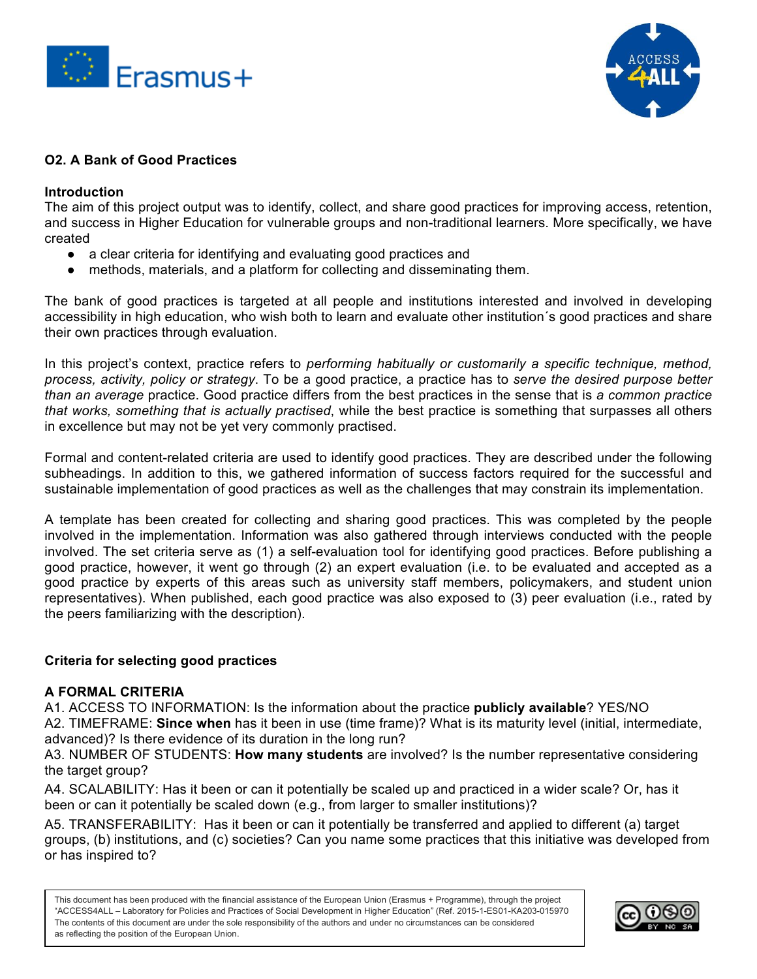



# **O2. A Bank of Good Practices**

### **Introduction**

The aim of this project output was to identify, collect, and share good practices for improving access, retention, and success in Higher Education for vulnerable groups and non-traditional learners. More specifically, we have created

- a clear criteria for identifying and evaluating good practices and
- methods, materials, and a platform for collecting and disseminating them.

The bank of good practices is targeted at all people and institutions interested and involved in developing accessibility in high education, who wish both to learn and evaluate other institution´s good practices and share their own practices through evaluation.

In this project's context, practice refers to *performing habitually or customarily a specific technique, method, process, activity, policy or strategy*. To be a good practice, a practice has to *serve the desired purpose better than an average* practice. Good practice differs from the best practices in the sense that is *a common practice that works, something that is actually practised*, while the best practice is something that surpasses all others in excellence but may not be yet very commonly practised.

Formal and content-related criteria are used to identify good practices. They are described under the following subheadings. In addition to this, we gathered information of success factors required for the successful and sustainable implementation of good practices as well as the challenges that may constrain its implementation.

A template has been created for collecting and sharing good practices. This was completed by the people involved in the implementation. Information was also gathered through interviews conducted with the people involved. The set criteria serve as (1) a self-evaluation tool for identifying good practices. Before publishing a good practice, however, it went go through (2) an expert evaluation (i.e. to be evaluated and accepted as a good practice by experts of this areas such as university staff members, policymakers, and student union representatives). When published, each good practice was also exposed to (3) peer evaluation (i.e., rated by the peers familiarizing with the description).

#### **Criteria for selecting good practices**

#### **A FORMAL CRITERIA**

A1. ACCESS TO INFORMATION: Is the information about the practice **publicly available**? YES/NO A2. TIMEFRAME: **Since when** has it been in use (time frame)? What is its maturity level (initial, intermediate, advanced)? Is there evidence of its duration in the long run?

A3. NUMBER OF STUDENTS: **How many students** are involved? Is the number representative considering the target group?

A4. SCALABILITY: Has it been or can it potentially be scaled up and practiced in a wider scale? Or, has it been or can it potentially be scaled down (e.g., from larger to smaller institutions)?

A5. TRANSFERABILITY: Has it been or can it potentially be transferred and applied to different (a) target groups, (b) institutions, and (c) societies? Can you name some practices that this initiative was developed from or has inspired to?

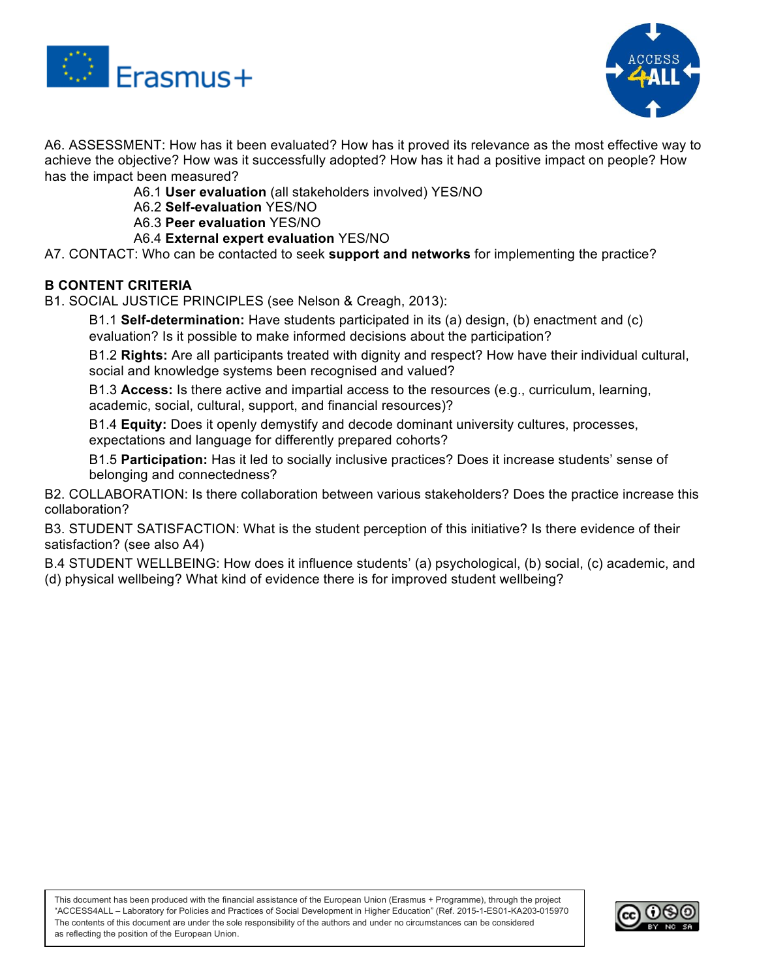



A6. ASSESSMENT: How has it been evaluated? How has it proved its relevance as the most effective way to achieve the objective? How was it successfully adopted? How has it had a positive impact on people? How has the impact been measured?

- A6.1 **User evaluation** (all stakeholders involved) YES/NO
- A6.2 **Self-evaluation** YES/NO
- A6.3 **Peer evaluation** YES/NO
- A6.4 **External expert evaluation** YES/NO

A7. CONTACT: Who can be contacted to seek **support and networks** for implementing the practice?

## **B CONTENT CRITERIA**

B1. SOCIAL JUSTICE PRINCIPLES (see Nelson & Creagh, 2013):

B1.1 **Self-determination:** Have students participated in its (a) design, (b) enactment and (c) evaluation? Is it possible to make informed decisions about the participation?

B1.2 **Rights:** Are all participants treated with dignity and respect? How have their individual cultural, social and knowledge systems been recognised and valued?

B1.3 **Access:** Is there active and impartial access to the resources (e.g., curriculum, learning, academic, social, cultural, support, and financial resources)?

B1.4 **Equity:** Does it openly demystify and decode dominant university cultures, processes, expectations and language for differently prepared cohorts?

B1.5 **Participation:** Has it led to socially inclusive practices? Does it increase students' sense of belonging and connectedness?

B2. COLLABORATION: Is there collaboration between various stakeholders? Does the practice increase this collaboration?

B3. STUDENT SATISFACTION: What is the student perception of this initiative? Is there evidence of their satisfaction? (see also A4)

B.4 STUDENT WELLBEING: How does it influence students' (a) psychological, (b) social, (c) academic, and (d) physical wellbeing? What kind of evidence there is for improved student wellbeing?

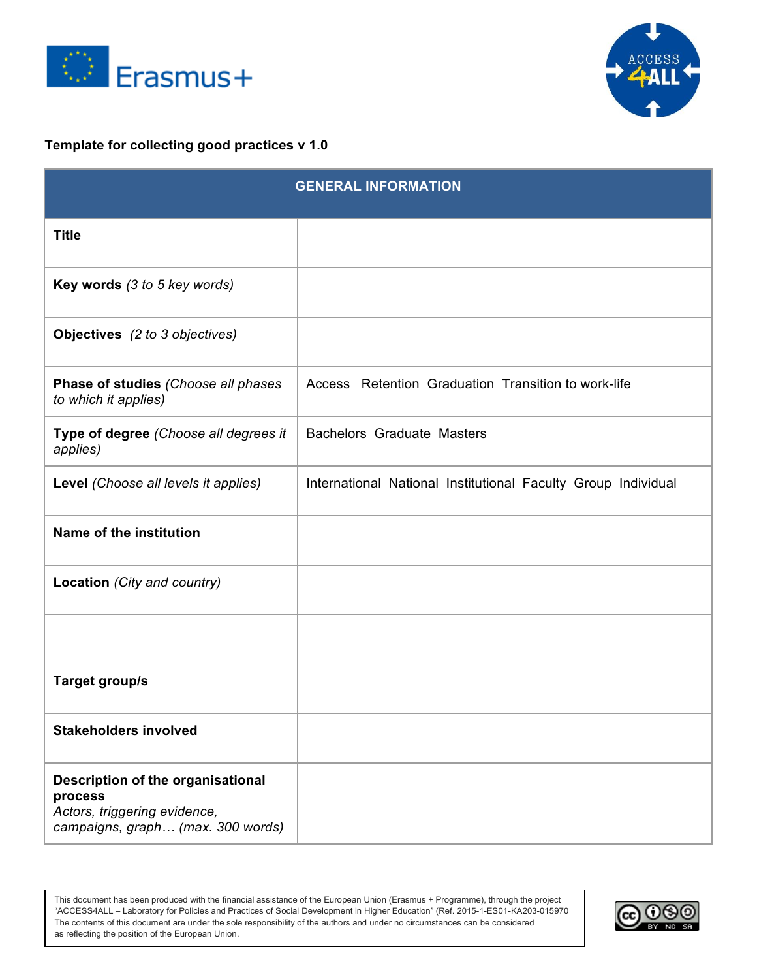



# **Template for collecting good practices v 1.0**

|                                                                                                                   | <b>GENERAL INFORMATION</b>                                    |
|-------------------------------------------------------------------------------------------------------------------|---------------------------------------------------------------|
| <b>Title</b>                                                                                                      |                                                               |
| <b>Key words</b> (3 to 5 key words)                                                                               |                                                               |
| Objectives (2 to 3 objectives)                                                                                    |                                                               |
| Phase of studies (Choose all phases<br>to which it applies)                                                       | Access Retention Graduation Transition to work-life           |
| Type of degree (Choose all degrees it<br>applies)                                                                 | <b>Bachelors Graduate Masters</b>                             |
| Level (Choose all levels it applies)                                                                              | International National Institutional Faculty Group Individual |
| <b>Name of the institution</b>                                                                                    |                                                               |
| Location (City and country)                                                                                       |                                                               |
|                                                                                                                   |                                                               |
| <b>Target group/s</b>                                                                                             |                                                               |
| <b>Stakeholders involved</b>                                                                                      |                                                               |
| Description of the organisational<br>process<br>Actors, triggering evidence,<br>campaigns, graph (max. 300 words) |                                                               |

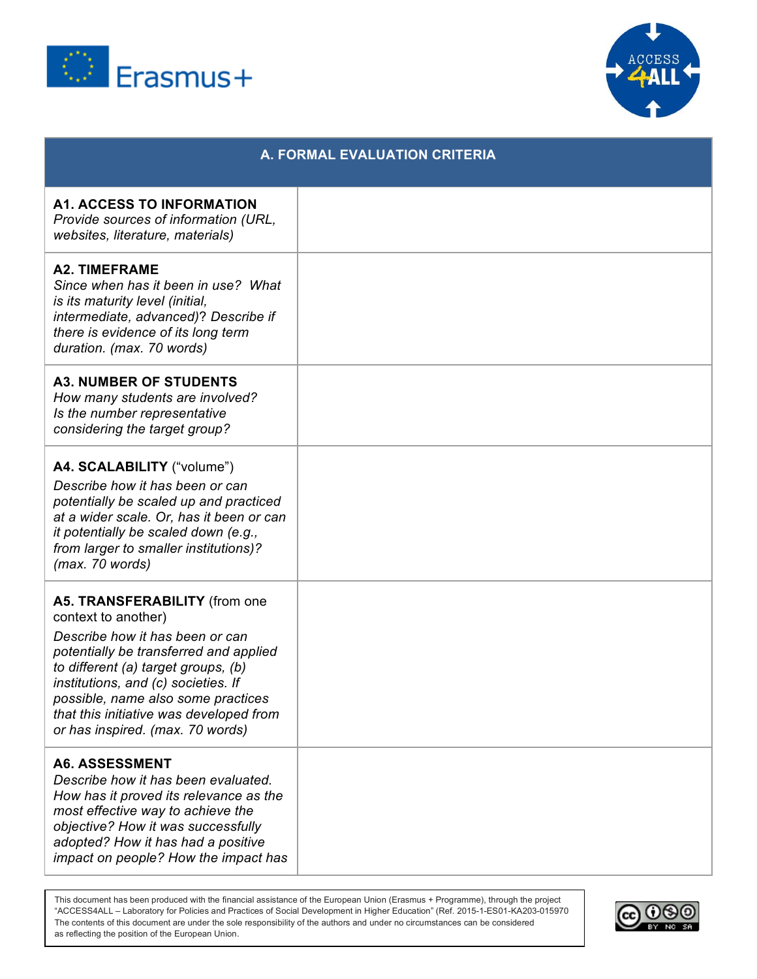



|                                                                                                                                                                                                                                                                                                                                      | <b>A. FORMAL EVALUATION CRITERIA</b> |
|--------------------------------------------------------------------------------------------------------------------------------------------------------------------------------------------------------------------------------------------------------------------------------------------------------------------------------------|--------------------------------------|
| <b>A1. ACCESS TO INFORMATION</b><br>Provide sources of information (URL,<br>websites, literature, materials)                                                                                                                                                                                                                         |                                      |
| <b>A2. TIMEFRAME</b><br>Since when has it been in use? What<br><i>is its maturity level (initial,</i><br>intermediate, advanced)? Describe if<br>there is evidence of its long term<br>duration. (max. 70 words)                                                                                                                     |                                      |
| <b>A3. NUMBER OF STUDENTS</b><br>How many students are involved?<br>Is the number representative<br>considering the target group?                                                                                                                                                                                                    |                                      |
| A4. SCALABILITY ("volume")<br>Describe how it has been or can<br>potentially be scaled up and practiced<br>at a wider scale. Or, has it been or can<br>it potentially be scaled down (e.g.,<br>from larger to smaller institutions)?<br>(max. 70 words)                                                                              |                                      |
| A5. TRANSFERABILITY (from one<br>context to another)<br>Describe how it has been or can<br>potentially be transferred and applied<br>to different (a) target groups, (b)<br>institutions, and (c) societies. If<br>possible, name also some practices<br>that this initiative was developed from<br>or has inspired. (max. 70 words) |                                      |
| <b>A6. ASSESSMENT</b><br>Describe how it has been evaluated.<br>How has it proved its relevance as the<br>most effective way to achieve the<br>objective? How it was successfully<br>adopted? How it has had a positive<br>impact on people? How the impact has                                                                      |                                      |

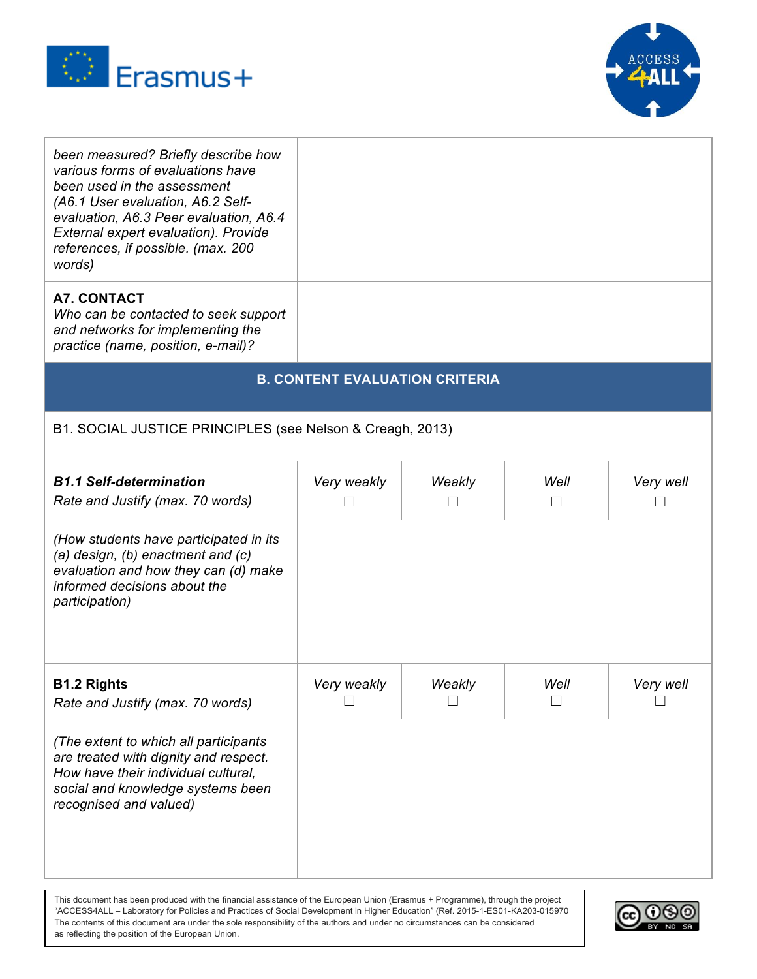



| been measured? Briefly describe how<br>various forms of evaluations have<br>been used in the assessment<br>(A6.1 User evaluation, A6.2 Self-<br>evaluation, A6.3 Peer evaluation, A6.4<br>External expert evaluation). Provide<br>references, if possible. (max. 200<br>words)<br><b>A7. CONTACT</b><br>Who can be contacted to seek support<br>and networks for implementing the<br>practice (name, position, e-mail)? |                                       |                  |                |           |
|-------------------------------------------------------------------------------------------------------------------------------------------------------------------------------------------------------------------------------------------------------------------------------------------------------------------------------------------------------------------------------------------------------------------------|---------------------------------------|------------------|----------------|-----------|
|                                                                                                                                                                                                                                                                                                                                                                                                                         | <b>B. CONTENT EVALUATION CRITERIA</b> |                  |                |           |
|                                                                                                                                                                                                                                                                                                                                                                                                                         |                                       |                  |                |           |
| B1. SOCIAL JUSTICE PRINCIPLES (see Nelson & Creagh, 2013)                                                                                                                                                                                                                                                                                                                                                               |                                       |                  |                |           |
| <b>B1.1 Self-determination</b><br>Rate and Justify (max. 70 words)                                                                                                                                                                                                                                                                                                                                                      | Very weakly                           | Weakly<br>$\Box$ | Well<br>$\Box$ | Very well |
| (How students have participated in its<br>(a) design, (b) enactment and (c)<br>evaluation and how they can (d) make<br>informed decisions about the<br><i>participation)</i>                                                                                                                                                                                                                                            |                                       |                  |                |           |
| <b>B1.2 Rights</b><br>Rate and Justify (max. 70 words)                                                                                                                                                                                                                                                                                                                                                                  | Very weakly                           | Weakly           | Well           | Very well |
| (The extent to which all participants<br>are treated with dignity and respect.<br>How have their individual cultural.<br>social and knowledge systems been<br>recognised and valued)                                                                                                                                                                                                                                    |                                       |                  |                |           |

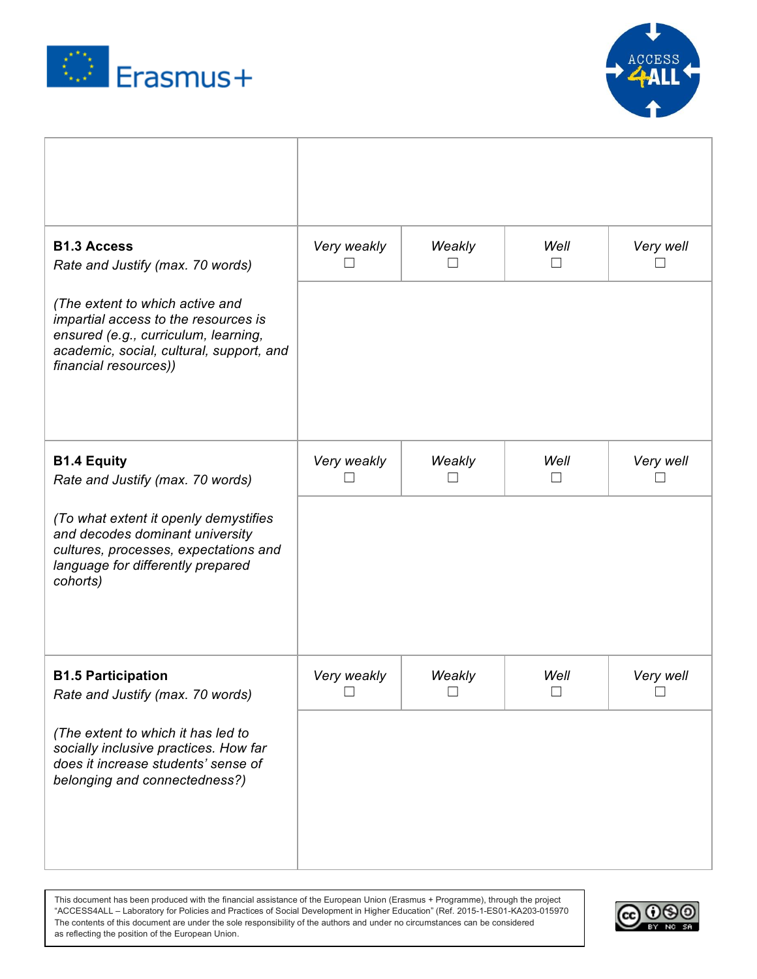



| <b>B1.3 Access</b><br>Rate and Justify (max. 70 words)                                                                                                                               | Very weakly           | Weakly           | Well<br>$\Box$ | Very well |
|--------------------------------------------------------------------------------------------------------------------------------------------------------------------------------------|-----------------------|------------------|----------------|-----------|
| (The extent to which active and<br>impartial access to the resources is<br>ensured (e.g., curriculum, learning,<br>academic, social, cultural, support, and<br>financial resources)) |                       |                  |                |           |
| <b>B1.4 Equity</b><br>Rate and Justify (max. 70 words)                                                                                                                               | Very weakly<br>┘      | Weakly           | Well<br>$\Box$ | Very well |
| (To what extent it openly demystifies<br>and decodes dominant university<br>cultures, processes, expectations and<br>language for differently prepared<br>cohorts)                   |                       |                  |                |           |
| <b>B1.5 Participation</b><br>Rate and Justify (max. 70 words)                                                                                                                        | Very weakly<br>$\Box$ | Weakly<br>$\Box$ | Well<br>$\Box$ | Very well |
| (The extent to which it has led to<br>socially inclusive practices. How far<br>does it increase students' sense of<br>belonging and connectedness?)                                  |                       |                  |                |           |